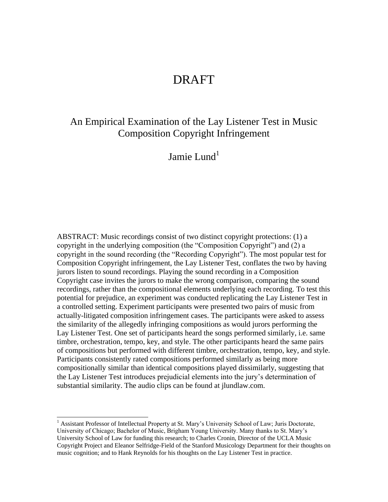## An Empirical Examination of the Lay Listener Test in Music Composition Copyright Infringement

Jamie Lund $<sup>1</sup>$ </sup>

ABSTRACT: Music recordings consist of two distinct copyright protections: (1) a copyright in the underlying composition (the "Composition Copyright") and (2) a copyright in the sound recording (the "Recording Copyright"). The most popular test for Composition Copyright infringement, the Lay Listener Test, conflates the two by having jurors listen to sound recordings. Playing the sound recording in a Composition Copyright case invites the jurors to make the wrong comparison, comparing the sound recordings, rather than the compositional elements underlying each recording. To test this potential for prejudice, an experiment was conducted replicating the Lay Listener Test in a controlled setting. Experiment participants were presented two pairs of music from actually-litigated composition infringement cases. The participants were asked to assess the similarity of the allegedly infringing compositions as would jurors performing the Lay Listener Test. One set of participants heard the songs performed similarly, i.e. same timbre, orchestration, tempo, key, and style. The other participants heard the same pairs of compositions but performed with different timbre, orchestration, tempo, key, and style. Participants consistently rated compositions performed similarly as being more compositionally similar than identical compositions played dissimilarly, suggesting that the Lay Listener Test introduces prejudicial elements into the jury's determination of substantial similarity. The audio clips can be found at jlundlaw.com.

<sup>&</sup>lt;sup>1</sup> Assistant Professor of Intellectual Property at St. Mary's University School of Law; Juris Doctorate, University of Chicago; Bachelor of Music, Brigham Young University. Many thanks to St. Mary's University School of Law for funding this research; to Charles Cronin, Director of the UCLA Music Copyright Project and Eleanor Selfridge-Field of the Stanford Musicology Department for their thoughts on music cognition; and to Hank Reynolds for his thoughts on the Lay Listener Test in practice.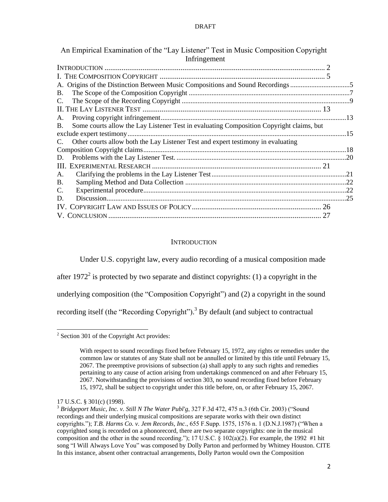| An Empirical Examination of the "Lay Listener" Test in Music Composition Copyright            |  |
|-----------------------------------------------------------------------------------------------|--|
| Infringement                                                                                  |  |
|                                                                                               |  |
|                                                                                               |  |
| A. Origins of the Distinction Between Music Compositions and Sound Recordings                 |  |
| B.                                                                                            |  |
| C.                                                                                            |  |
|                                                                                               |  |
| A.                                                                                            |  |
| Some courts allow the Lay Listener Test in evaluating Composition Copyright claims, but<br>B. |  |
|                                                                                               |  |
| Other courts allow both the Lay Listener Test and expert testimony in evaluating<br>C.        |  |
|                                                                                               |  |
| D.                                                                                            |  |
|                                                                                               |  |
| A.                                                                                            |  |
| <b>B.</b>                                                                                     |  |
| C.                                                                                            |  |
| D.                                                                                            |  |
|                                                                                               |  |
|                                                                                               |  |
|                                                                                               |  |

## **INTRODUCTION**

<span id="page-1-0"></span>Under U.S. copyright law, every audio recording of a musical composition made after 1972<sup>2</sup> is protected by two separate and distinct copyrights: (1) a copyright in the underlying composition (the "Composition Copyright") and  $(2)$  a copyright in the sound recording itself (the "Recording Copyright").<sup>3</sup> By default (and subject to contractual

<sup>&</sup>lt;sup>2</sup> Section 301 of the Copyright Act provides:

With respect to sound recordings fixed before February 15, 1972, any rights or remedies under the common law or statutes of any State shall not be annulled or limited by this title until February 15, 2067. The preemptive provisions of subsection (a) shall apply to any such rights and remedies pertaining to any cause of action arising from undertakings commenced on and after February 15, 2067. Notwithstanding the provisions of section 303, no sound recording fixed before February 15, 1972, shall be subject to copyright under this title before, on, or after February 15, 2067.

<sup>17</sup> U.S.C. § 301(c) (1998).

<sup>&</sup>lt;sup>3</sup> Bridgeport Music, Inc. v. Still N The Water Publ'g, 327 F.3d 472, 475 n.3 (6th Cir. 2003) ("Sound recordings and their underlying musical compositions are separate works with their own distinct copyrights."); *T.B. Harms Co. v. Jem Records, Inc.*, 655 F.Supp. 1575, 1576 n. 1 (D.N.J.1987) ("When a copyrighted song is recorded on a phonorecord, there are two separate copyrights: one in the musical composition and the other in the sound recording."); 17 U.S.C.  $\S$  102(a)(2). For example, the 1992 #1 hit song "I Will Always Love You" was composed by Dolly Parton and performed by Whitney Houston. CITE In this instance, absent other contractual arrangements, Dolly Parton would own the Composition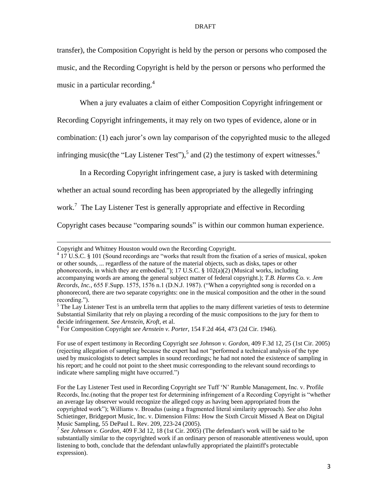transfer), the Composition Copyright is held by the person or persons who composed the music, and the Recording Copyright is held by the person or persons who performed the music in a particular recording.<sup>4</sup>

When a jury evaluates a claim of either Composition Copyright infringement or Recording Copyright infringements, it may rely on two types of evidence, alone or in combination: (1) each juror's own lay comparison of the copyrighted music to the alleged infringing music(the "Lay Listener Test"),  $5$  and (2) the testimony of expert witnesses.<sup>6</sup>

In a Recording Copyright infringement case, a jury is tasked with determining whether an actual sound recording has been appropriated by the allegedly infringing work.<sup>7</sup> The Lay Listener Test is generally appropriate and effective in Recording Copyright cases because "comparing sounds" is within our common human experience.

 $\overline{a}$ 

<sup>4</sup> 17 U.S.C. § 101 (Sound recordings are "works that result from the fixation of a series of musical, spoken or other sounds, ... regardless of the nature of the material objects, such as disks, tapes or other phonorecords, in which they are embodied."); 17 U.S.C. § 102(a)(2) (Musical works, including accompanying words are among the general subject matter of federal copyright.); *T.B. Harms Co. v. Jem Records, Inc.,* 655 F.Supp. 1575, 1576 n.1 (D.N.J. 1987). ("When a copyrighted song is recorded on a phonorecord, there are two separate copyrights: one in the musical composition and the other in the sound recording.").

 $<sup>5</sup>$  The Lay Listener Test is an umbrella term that applies to the many different varieties of tests to determine</sup> Substantial Similarity that rely on playing a recording of the music compositions to the jury for them to decide infringement. *See Arnstein*, *Kroft*, et al.

Copyright and Whitney Houston would own the Recording Copyright.

<sup>6</sup> For Composition Copyright *see Arnstein v. Porter*, 154 F.2d 464, 473 (2d Cir. 1946).

For use of expert testimony in Recording Copyright *see Johnson v. Gordon*, 409 F.3d 12, 25 (1st Cir. 2005) (rejecting allegation of sampling because the expert had not "performed a technical analysis of the type used by musicologists to detect samples in sound recordings; he had not noted the existence of sampling in his report; and he could not point to the sheet music corresponding to the relevant sound recordings to indicate where sampling might have occurred.")

For the Lay Listener Test used in Recording Copyright see Tuff 'N' Rumble Management, Inc. v. Profile Records, Inc.(noting that the proper test for determining infringement of a Recording Copyright is "whether an average lay observer would recognize the alleged copy as having been appropriated from the copyrighted work‖); Williams v. Broadus (using a fragmented literal similarity approach). *See also* John Schietinger, Bridgeport Music, Inc. v. Dimension Films: How the Sixth Circuit Missed A Beat on Digital Music Sampling, 55 DePaul L. Rev. 209, 223-24 (2005).

*<sup>7</sup> See Johnson v. Gordon*, 409 F.3d 12, 18 (1st Cir. 2005) (The defendant's work will be said to be substantially similar to the copyrighted work if an ordinary person of reasonable attentiveness would, upon listening to both, conclude that the defendant unlawfully appropriated the plaintiff's protectable expression).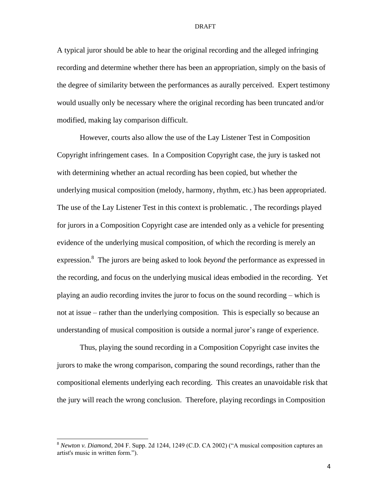A typical juror should be able to hear the original recording and the alleged infringing recording and determine whether there has been an appropriation, simply on the basis of the degree of similarity between the performances as aurally perceived. Expert testimony would usually only be necessary where the original recording has been truncated and/or modified, making lay comparison difficult.

However, courts also allow the use of the Lay Listener Test in Composition Copyright infringement cases. In a Composition Copyright case, the jury is tasked not with determining whether an actual recording has been copied, but whether the underlying musical composition (melody, harmony, rhythm, etc.) has been appropriated. The use of the Lay Listener Test in this context is problematic. , The recordings played for jurors in a Composition Copyright case are intended only as a vehicle for presenting evidence of the underlying musical composition, of which the recording is merely an expression.<sup>8</sup> The jurors are being asked to look *beyond* the performance as expressed in the recording, and focus on the underlying musical ideas embodied in the recording. Yet playing an audio recording invites the juror to focus on the sound recording – which is not at issue – rather than the underlying composition. This is especially so because an understanding of musical composition is outside a normal juror's range of experience.

Thus, playing the sound recording in a Composition Copyright case invites the jurors to make the wrong comparison, comparing the sound recordings, rather than the compositional elements underlying each recording. This creates an unavoidable risk that the jury will reach the wrong conclusion. Therefore, playing recordings in Composition

<sup>&</sup>lt;sup>8</sup> *Newton v. Diamond*, 204 F. Supp. 2d 1244, 1249 (C.D. CA 2002) ("A musical composition captures an artist's music in written form.").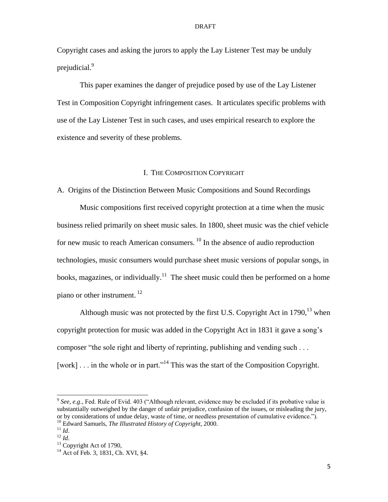Copyright cases and asking the jurors to apply the Lay Listener Test may be unduly prejudicial. 9

This paper examines the danger of prejudice posed by use of the Lay Listener Test in Composition Copyright infringement cases. It articulates specific problems with use of the Lay Listener Test in such cases, and uses empirical research to explore the existence and severity of these problems.

## I. THE COMPOSITION COPYRIGHT

<span id="page-4-1"></span><span id="page-4-0"></span>A. Origins of the Distinction Between Music Compositions and Sound Recordings

Music compositions first received copyright protection at a time when the music business relied primarily on sheet music sales. In 1800, sheet music was the chief vehicle for new music to reach American consumers.  $^{10}$  In the absence of audio reproduction technologies, music consumers would purchase sheet music versions of popular songs, in books, magazines, or individually.<sup>11</sup> The sheet music could then be performed on a home piano or other instrument.<sup>12</sup>

Although music was not protected by the first U.S. Copyright Act in 1790,  $13$  when copyright protection for music was added in the Copyright Act in 1831 it gave a song's composer "the sole right and liberty of reprinting, publishing and vending such  $\dots$ [work] . . . in the whole or in part."<sup>14</sup> This was the start of the Composition Copyright.

 $9$  See, e.g., Fed. Rule of Evid. 403 ("Although relevant, evidence may be excluded if its probative value is substantially outweighed by the danger of unfair prejudice, confusion of the issues, or misleading the jury, or by considerations of undue delay, waste of time, or needless presentation of cumulative evidence.").

<sup>10</sup> Edward Samuels, *The Illustrated History of Copyright*, 2000.  $\frac{11}{10}$ 

 $^{12}$  *Id*.

 $13$  Copyright Act of 1790,

<sup>&</sup>lt;sup>14</sup> Act of Feb. 3, 1831, Ch. XVI, §4.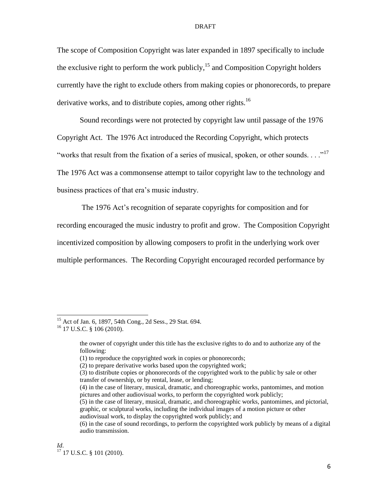The scope of Composition Copyright was later expanded in 1897 specifically to include the exclusive right to perform the work publicly,<sup>15</sup> and Composition Copyright holders currently have the right to exclude others from making copies or phonorecords, to prepare derivative works, and to distribute copies, among other rights.<sup>16</sup>

Sound recordings were not protected by copyright law until passage of the 1976 Copyright Act. The 1976 Act introduced the Recording Copyright, which protects "works that result from the fixation of a series of musical, spoken, or other sounds. . . ."<sup>17</sup> The 1976 Act was a commonsense attempt to tailor copyright law to the technology and business practices of that era's music industry.

The 1976 Act's recognition of separate copyrights for composition and for recording encouraged the music industry to profit and grow. The Composition Copyright incentivized composition by allowing composers to profit in the underlying work over multiple performances. The Recording Copyright encouraged recorded performance by

<sup>&</sup>lt;sup>15</sup> Act of Jan. 6, 1897, 54th Cong., 2d Sess., 29 Stat. 694.

<sup>16</sup> 17 U.S.C. § 106 (2010).

the owner of copyright under this title has the exclusive rights to do and to authorize any of the following:

<sup>(1)</sup> to reproduce the copyrighted work in copies or phonorecords;

<sup>(2)</sup> to prepare derivative works based upon the copyrighted work;

<sup>(3)</sup> to distribute copies or phonorecords of the copyrighted work to the public by sale or other transfer of ownership, or by rental, lease, or lending;

<sup>(4)</sup> in the case of literary, musical, dramatic, and choreographic works, pantomimes, and motion pictures and other audiovisual works, to perform the copyrighted work publicly;

<sup>(5)</sup> in the case of literary, musical, dramatic, and choreographic works, pantomimes, and pictorial, graphic, or sculptural works, including the individual images of a motion picture or other audiovisual work, to display the copyrighted work publicly; and

<sup>(6)</sup> in the case of sound recordings, to perform the copyrighted work publicly by means of a digital audio transmission.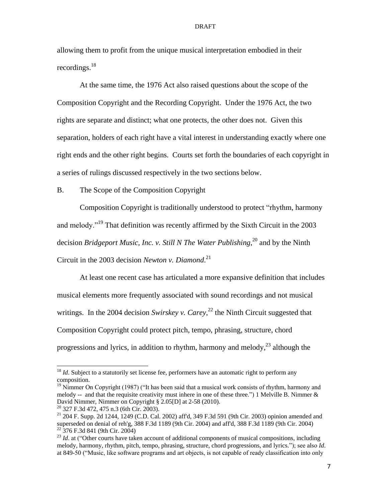allowing them to profit from the unique musical interpretation embodied in their recordings.<sup>18</sup>

At the same time, the 1976 Act also raised questions about the scope of the Composition Copyright and the Recording Copyright. Under the 1976 Act, the two rights are separate and distinct; what one protects, the other does not. Given this separation, holders of each right have a vital interest in understanding exactly where one right ends and the other right begins. Courts set forth the boundaries of each copyright in a series of rulings discussed respectively in the two sections below.

<span id="page-6-0"></span>B. The Scope of the Composition Copyright

Composition Copyright is traditionally understood to protect "rhythm, harmony" and melody."<sup>19</sup> That definition was recently affirmed by the Sixth Circuit in the 2003 decision *Bridgeport Music, Inc. v. Still N The Water Publishing*, <sup>20</sup> and by the Ninth Circuit in the 2003 decision *Newton v. Diamond*. 21

At least one recent case has articulated a more expansive definition that includes musical elements more frequently associated with sound recordings and not musical writings. In the 2004 decision *Swirskey v. Carey*,<sup>22</sup> the Ninth Circuit suggested that Composition Copyright could protect pitch, tempo, phrasing, structure, chord progressions and lyrics, in addition to rhythm, harmony and melody, $^{23}$  although the

<sup>&</sup>lt;sup>18</sup> *Id*. Subject to a statutorily set license fee, performers have an automatic right to perform any composition.

 $19$  Nimmer On Copyright (1987) ("It has been said that a musical work consists of rhythm, harmony and melody -- and that the requisite creativity must inhere in one of these three.") 1 Melville B. Nimmer  $\&$ David Nimmer, Nimmer on Copyright § 2.05[D] at 2-58 (2010).

<sup>20</sup> 327 F.3d 472, 475 n.3 (6th Cir. 2003).

<sup>21</sup> 204 F. Supp. 2d 1244, 1249 (C.D. Cal. 2002) aff'd, 349 F.3d 591 (9th Cir. 2003) opinion amended and superseded on denial of reh'g, 388 F.3d 1189 (9th Cir. 2004) and aff'd, 388 F.3d 1189 (9th Cir. 2004)  $22\overline{376}$  F.3d 841 (9th Cir. 2004)

<sup>&</sup>lt;sup>23</sup> *Id.* at ("Other courts have taken account of additional components of musical compositions, including melody, harmony, rhythm, pitch, tempo, phrasing, structure, chord progressions, and lyrics.‖); see also *Id*. at 849-50 ("Music, like software programs and art objects, is not capable of ready classification into only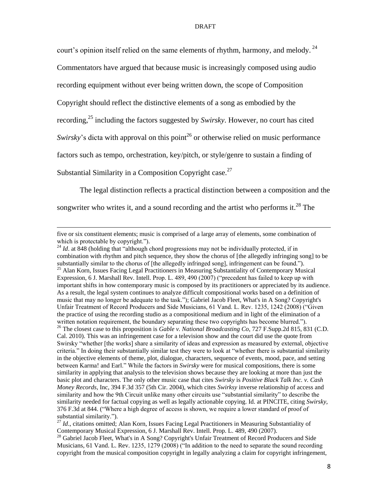court's opinion itself relied on the same elements of rhythm, harmony, and melody.  $^{24}$ Commentators have argued that because music is increasingly composed using audio recording equipment without ever being written down, the scope of Composition Copyright should reflect the distinctive elements of a song as embodied by the recording, <sup>25</sup> including the factors suggested by *Swirsky*. However, no court has cited *Swirsky*'s dicta with approval on this point<sup>26</sup> or otherwise relied on music performance factors such as tempo, orchestration, key/pitch, or style/genre to sustain a finding of Substantial Similarity in a Composition Copyright case.<sup>27</sup>

The legal distinction reflects a practical distinction between a composition and the songwriter who writes it, and a sound recording and the artist who performs it.<sup>28</sup> The

five or six constituent elements; music is comprised of a large array of elements, some combination of which is protectable by copyright.").

 $^{24}$  *Id.* at 848 (holding that "although chord progressions may not be individually protected, if in combination with rhythm and pitch sequence, they show the chorus of [the allegedly infringing song] to be substantially similar to the chorus of [the allegedly infringed song], infringement can be found."). <sup>25</sup> Alan Korn, Issues Facing Legal Practitioners in Measuring Substantiality of Contemporary Musical Expression, 6 J. Marshall Rev. Intell. Prop. L. 489, 490 (2007) ("precedent has failed to keep up with important shifts in how contemporary music is composed by its practitioners or appreciated by its audience. As a result, the legal system continues to analyze difficult compositional works based on a definition of music that may no longer be adequate to the task.‖); Gabriel Jacob Fleet, What's in A Song? Copyright's Unfair Treatment of Record Producers and Side Musicians, 61 Vand. L. Rev. 1235, 1242 (2008) ("Given the practice of using the recording studio as a compositional medium and in light of the elimination of a written notation requirement, the boundary separating these two copyrights has become blurred."). <sup>26</sup> The closest case to this proposition is *Gable v. National Broadcasting Co*, 727 F.Supp.2d 815, 831 (C.D. Cal. 2010). This was an infringement case for a television show and the court did use the quote from Swirsky "whether [the works] share a similarity of ideas and expression as measured by external, objective criteria." In doing their substantially similar test they were to look at "whether there is substantial similarity in the objective elements of theme, plot, dialogue, characters, sequence of events, mood, pace, and setting between Karma! and Earl." While the factors in *Swirsky* were for musical compositions, there is some similarity in applying that analysis to the television shows because they are looking at more than just the basic plot and characters. The only other music case that cites *Swirsky* is *Positive Black Talk Inc. v. Cash Money Records*, Inc, 394 F.3d 357 (5th Cir. 2004), which cites *Swirksy* inverse relationship of access and similarity and how the 9th Circuit unlike many other circuits use "substantial similarity" to describe the similarity needed for factual copying as well as legally actionable copying. Id. at PINCITE, citing *Swirsky*, 376 F.3d at 844. ("Where a high degree of access is shown, we require a lower standard of proof of substantial similarity.").

<sup>&</sup>lt;sup>27</sup> Id., citations omitted; Alan Korn, Issues Facing Legal Practitioners in Measuring Substantiality of Contemporary Musical Expression, 6 J. Marshall Rev. Intell. Prop. L. 489, 490 (2007).

<sup>&</sup>lt;sup>28</sup> Gabriel Jacob Fleet, What's in A Song? Copyright's Unfair Treatment of Record Producers and Side Musicians, 61 Vand. L. Rev. 1235, 1279 (2008) ("In addition to the need to separate the sound recording copyright from the musical composition copyright in legally analyzing a claim for copyright infringement,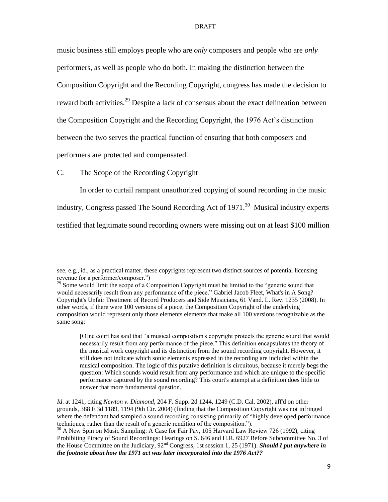music business still employs people who are *only* composers and people who are *only* performers, as well as people who do both. In making the distinction between the Composition Copyright and the Recording Copyright, congress has made the decision to reward both activities.<sup>29</sup> Despite a lack of consensus about the exact delineation between the Composition Copyright and the Recording Copyright, the 1976 Act's distinction between the two serves the practical function of ensuring that both composers and performers are protected and compensated.

## <span id="page-8-0"></span>C. The Scope of the Recording Copyright

 $\overline{a}$ 

In order to curtail rampant unauthorized copying of sound recording in the music industry, Congress passed The Sound Recording Act of  $1971$ .<sup>30</sup> Musical industry experts testified that legitimate sound recording owners were missing out on at least \$100 million

see, e.g., id., as a practical matter, these copyrights represent two distinct sources of potential licensing revenue for a performer/composer.")

 $29$  Some would limit the scope of a Composition Copyright must be limited to the "generic sound that would necessarily result from any performance of the piece." Gabriel Jacob Fleet, What's in A Song? Copyright's Unfair Treatment of Record Producers and Side Musicians, 61 Vand. L. Rev. 1235 (2008). In other words, if there were 100 versions of a piece, the Composition Copyright of the underlying composition would represent only those elements elements that make all 100 versions recognizable as the same song:

<sup>[</sup>O]ne court has said that "a musical composition's copyright protects the generic sound that would necessarily result from any performance of the piece." This definition encapsulates the theory of the musical work copyright and its distinction from the sound recording copyright. However, it still does not indicate which sonic elements expressed in the recording are included within the musical composition. The logic of this putative definition is circuitous, because it merely begs the question: Which sounds would result from any performance and which are unique to the specific performance captured by the sound recording? This court's attempt at a definition does little to answer that more fundamental question.

*Id*. at 1241, citing *Newton v. Diamond*, 204 F. Supp. 2d 1244, 1249 (C.D. Cal. 2002), aff'd on other grounds, 388 F.3d 1189, 1194 (9th Cir. 2004) (finding that the Composition Copyright was not infringed where the defendant had sampled a sound recording consisting primarily of "highly developed performance" techniques, rather than the result of a generic rendition of the composition.").

<sup>&</sup>lt;sup>30</sup> A New Spin on Music Sampling: A Case for Fair Pay, 105 Harvard Law Review 726 (1992), citing Prohibiting Piracy of Sound Recordings: Hearings on S. 646 and H.R. 6927 Before Subcommittee No. 3 of the House Committee on the Judiciary, 92nd Congress, 1st session 1, 25 (1971). *Should I put anywhere in the footnote about how the 1971 act was later incorporated into the 1976 Act??*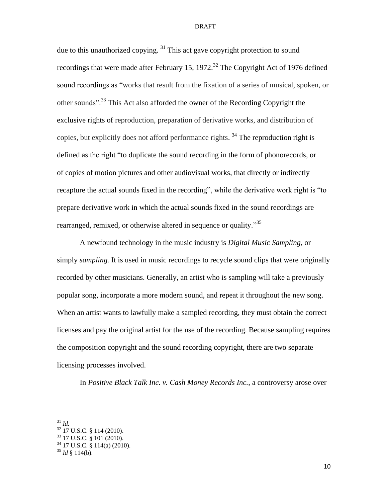due to this unauthorized copying. <sup>31</sup> This act gave copyright protection to sound recordings that were made after February 15, 1972.<sup>32</sup> The Copyright Act of 1976 defined sound recordings as "works that result from the fixation of a series of musical, spoken, or other sounds".<sup>33</sup> This Act also afforded the owner of the Recording Copyright the exclusive rights of reproduction, preparation of derivative works, and distribution of copies, but explicitly does not afford performance rights.<sup>34</sup> The reproduction right is defined as the right "to duplicate the sound recording in the form of phonorecords, or of copies of motion pictures and other audiovisual works, that directly or indirectly recapture the actual sounds fixed in the recording", while the derivative work right is "to prepare derivative work in which the actual sounds fixed in the sound recordings are rearranged, remixed, or otherwise altered in sequence or quality."<sup>35</sup>

A newfound technology in the music industry is *Digital Music Sampling*, or simply *sampling.* It is used in music recordings to recycle sound clips that were originally recorded by other musicians. Generally, an artist who is sampling will take a previously popular song, incorporate a more modern sound, and repeat it throughout the new song. When an artist wants to lawfully make a sampled recording, they must obtain the correct licenses and pay the original artist for the use of the recording. Because sampling requires the composition copyright and the sound recording copyright, there are two separate licensing processes involved.

In *Positive Black Talk Inc. v. Cash Money Records Inc.*, a controversy arose over

<sup>31</sup> *Id.*

 $32$  17 U.S.C. § 114 (2010).

 $33$  17 U.S.C. § 101 (2010).

<sup>34</sup> 17 U.S.C. § 114(a) (2010).

 $35$  *Id* § 114(b).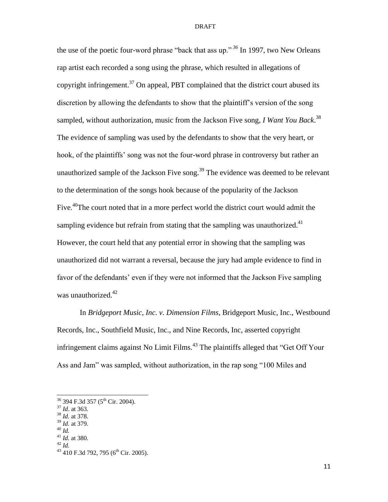the use of the poetic four-word phrase "back that ass up."<sup> $36$ </sup> In 1997, two New Orleans rap artist each recorded a song using the phrase, which resulted in allegations of copyright infringement.<sup>37</sup> On appeal, PBT complained that the district court abused its discretion by allowing the defendants to show that the plaintiff's version of the song sampled, without authorization, music from the Jackson Five song, *I Want You Back*. 38 The evidence of sampling was used by the defendants to show that the very heart, or hook, of the plaintiffs' song was not the four-word phrase in controversy but rather an unauthorized sample of the Jackson Five song.<sup>39</sup> The evidence was deemed to be relevant to the determination of the songs hook because of the popularity of the Jackson Five.<sup>40</sup>The court noted that in a more perfect world the district court would admit the sampling evidence but refrain from stating that the sampling was unauthorized. $41$ However, the court held that any potential error in showing that the sampling was unauthorized did not warrant a reversal, because the jury had ample evidence to find in favor of the defendants' even if they were not informed that the Jackson Five sampling was unauthorized.<sup>42</sup>

In *Bridgeport Music, Inc. v. Dimension Films*, Bridgeport Music, Inc., Westbound Records, Inc., Southfield Music, Inc., and Nine Records, Inc, asserted copyright infringement claims against No Limit Films.<sup>43</sup> The plaintiffs alleged that "Get Off Your" Ass and Jam" was sampled, without authorization, in the rap song "100 Miles and

- <sup>38</sup> *Id.* at 378.
- <sup>39</sup> *Id.* at 379. <sup>40</sup> *Id.*

 $\overline{a}$ 

<sup>42</sup> *Id.*

 $36$  394 F.3d 357 (5<sup>th</sup> Cir. 2004).

<sup>37</sup> *Id*. at 363.

<sup>41</sup> *Id.* at 380.

<sup>&</sup>lt;sup>43</sup> 410 F.3d 792, 795 (6<sup>th</sup> Cir. 2005).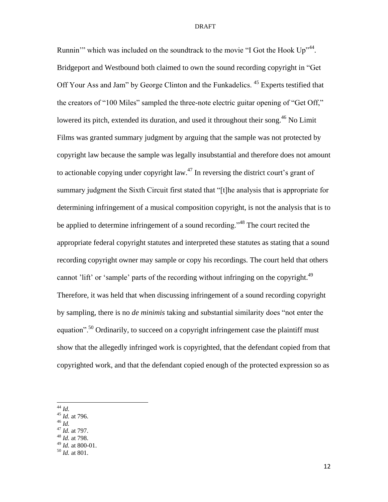Runnin'" which was included on the soundtrack to the movie "I Got the Hook  $Up^{\prime 44}$ . Bridgeport and Westbound both claimed to own the sound recording copyright in "Get" Off Your Ass and Jam" by George Clinton and the Funkadelics.<sup>45</sup> Experts testified that the creators of "100 Miles" sampled the three-note electric guitar opening of "Get Off," lowered its pitch, extended its duration, and used it throughout their song.<sup>46</sup> No Limit Films was granted summary judgment by arguing that the sample was not protected by copyright law because the sample was legally insubstantial and therefore does not amount to actionable copying under copyright law.<sup>47</sup> In reversing the district court's grant of summary judgment the Sixth Circuit first stated that "[t]he analysis that is appropriate for determining infringement of a musical composition copyright, is not the analysis that is to be applied to determine infringement of a sound recording.<sup>48</sup> The court recited the appropriate federal copyright statutes and interpreted these statutes as stating that a sound recording copyright owner may sample or copy his recordings. The court held that others cannot 'lift' or 'sample' parts of the recording without infringing on the copyright.<sup>49</sup> Therefore, it was held that when discussing infringement of a sound recording copyright by sampling, there is no *de minimis* taking and substantial similarity does "not enter the equation".<sup>50</sup> Ordinarily, to succeed on a copyright infringement case the plaintiff must show that the allegedly infringed work is copyrighted, that the defendant copied from that copyrighted work, and that the defendant copied enough of the protected expression so as

- <sup>45</sup> *Id.* at 796.
- <sup>46</sup> *Id.*
- <sup>47</sup> *Id.* at 797. <sup>48</sup> *Id.* at 798.
- <sup>49</sup> *Id.* at 800-01.
- 

<sup>44</sup> *Id.*

<sup>50</sup> *Id.* at 801.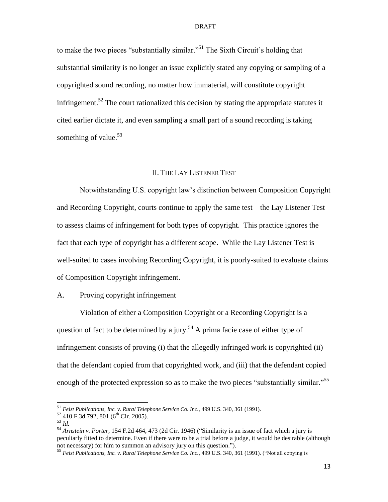to make the two pieces "substantially similar."<sup>51</sup> The Sixth Circuit's holding that substantial similarity is no longer an issue explicitly stated any copying or sampling of a copyrighted sound recording, no matter how immaterial, will constitute copyright infringement.<sup>52</sup> The court rationalized this decision by stating the appropriate statutes it cited earlier dictate it, and even sampling a small part of a sound recording is taking something of value. $53$ 

## II. THE LAY LISTENER TEST

<span id="page-12-1"></span><span id="page-12-0"></span>Notwithstanding U.S. copyright law's distinction between Composition Copyright and Recording Copyright, courts continue to apply the same test – the Lay Listener Test – to assess claims of infringement for both types of copyright. This practice ignores the fact that each type of copyright has a different scope. While the Lay Listener Test is well-suited to cases involving Recording Copyright, it is poorly-suited to evaluate claims of Composition Copyright infringement.

## A. Proving copyright infringement

Violation of either a Composition Copyright or a Recording Copyright is a question of fact to be determined by a jury.<sup>54</sup> A prima facie case of either type of infringement consists of proving (i) that the allegedly infringed work is copyrighted (ii) that the defendant copied from that copyrighted work, and (iii) that the defendant copied enough of the protected expression so as to make the two pieces "substantially similar."<sup>55</sup>

<sup>51</sup> *Feist Publications, Inc. v. Rural Telephone Service Co. Inc.,* 499 U.S. 340, 361 (1991).

 $52$  410 F.3d 792, 801 (6<sup>th</sup> Cir. 2005).

<sup>53</sup> *Id.*

<sup>&</sup>lt;sup>54</sup> *Arnstein v. Porter*, 154 F.2d 464, 473 (2d Cir. 1946) ("Similarity is an issue of fact which a jury is peculiarly fitted to determine. Even if there were to be a trial before a judge, it would be desirable (although not necessary) for him to summon an advisory jury on this question.").

<sup>55</sup> *Feist Publications, Inc. v. Rural Telephone Service Co. Inc., 499 U.S.* 340, 361 (1991). ("Not all copying is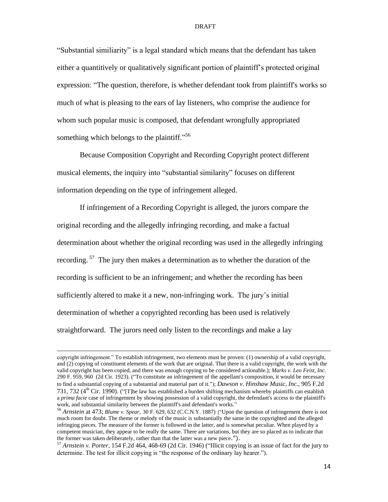―Substantial similiarity‖ is a legal standard which means that the defendant has taken either a quantitively or qualitatively significant portion of plaintiff's protected original expression: "The question, therefore, is whether defendant took from plaintiff's works so much of what is pleasing to the ears of lay listeners, who comprise the audience for whom such popular music is composed, that defendant wrongfully appropriated something which belongs to the plaintiff."<sup>56</sup>

Because Composition Copyright and Recording Copyright protect different musical elements, the inquiry into "substantial similarity" focuses on different information depending on the type of infringement alleged.

If infringement of a Recording Copyright is alleged, the jurors compare the original recording and the allegedly infringing recording, and make a factual determination about whether the original recording was used in the allegedly infringing recording.<sup>57</sup> The jury then makes a determination as to whether the duration of the recording is sufficient to be an infringement; and whether the recording has been sufficiently altered to make it a new, non-infringing work. The jury's initial determination of whether a copyrighted recording has been used is relatively straightforward. The jurors need only listen to the recordings and make a lay

copyright infringement." To establish infringement, two elements must be proven: (1) ownership of a valid copyright, and (2) copying of constituent elements of the work that are original. That there is a valid copyright, the work with the valid copyright has been copied, and there was enough copying to be considered actionable.); *Marks v. Leo Feist, Inc.* 290 F. 959, 960 (2d Cir. 1923). ("To constitute an infringement of the appellant's composition, it would be necessary to find a substantial copying of a substantial and material part of it."); *Dawson v. Hinshaw Music, Inc.*, 905 F.2d 731, 732 ( $4^{th}$  Cir. 1990). ("The law has established a burden shifting mechanism whereby plaintiffs can establish a *prima facie* case of infringement by showing possession of a valid copyright, the defendant's access to the plaintiff's work, and substantial similarity between the plaintiff's and defendant's works."

<sup>56</sup> *Arnstein* at 473; *Blume v. Spear,* 30 F. 629, 632 (C.C.N.Y. 1887) ("Upon the question of infringement there is not much room for doubt. The theme or melody of the music is substantially the same in the copyrighted and the alleged infringing pieces. The measure of the former is followed in the latter, and is somewhat peculiar. When played by a competent musician, they appear to be really the same. There are variations, but they are so placed as to indicate that the former was taken deliberately, rather than that the latter was a new piece.").

<sup>57</sup> Arnstein v. Porter, 154 F.2d 464, 468-69 (2d Cir. 1946) ("Illicit copying is an issue of fact for the jury to determine. The test for illicit copying is "the response of the ordinary lay hearer.").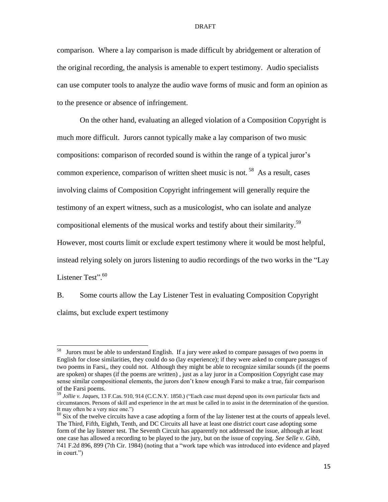comparison. Where a lay comparison is made difficult by abridgement or alteration of the original recording, the analysis is amenable to expert testimony. Audio specialists can use computer tools to analyze the audio wave forms of music and form an opinion as to the presence or absence of infringement.

On the other hand, evaluating an alleged violation of a Composition Copyright is much more difficult. Jurors cannot typically make a lay comparison of two music compositions: comparison of recorded sound is within the range of a typical juror's common experience, comparison of written sheet music is not.  $^{58}$  As a result, cases involving claims of Composition Copyright infringement will generally require the testimony of an expert witness, such as a musicologist, who can isolate and analyze compositional elements of the musical works and testify about their similarity.<sup>59</sup> However, most courts limit or exclude expert testimony where it would be most helpful,

Listener Test".<sup>60</sup>

<span id="page-14-0"></span>B. Some courts allow the Lay Listener Test in evaluating Composition Copyright claims, but exclude expert testimony

instead relying solely on jurors listening to audio recordings of the two works in the "Lay"

 58 Jurors must be able to understand English. If a jury were asked to compare passages of two poems in English for close similarities, they could do so (lay experience); if they were asked to compare passages of two poems in Farsi,, they could not. Although they might be able to recognize similar sounds (if the poems are spoken) or shapes (if the poems are written) , just as a lay juror in a Composition Copyright case may sense similar compositional elements, the jurors don't know enough Farsi to make a true, fair comparison of the Farsi poems.

<sup>59</sup> *Jollie v. Jaques*, 13 F.Cas. 910, 914 (C.C.N.Y. 1850.) ("Each case must depend upon its own particular facts and circumstances. Persons of skill and experience in the art must be called in to assist in the determination of the question. It may often be a very nice one."

 $^{60}$  Six of the twelve circuits have a case adopting a form of the lay listener test at the courts of appeals level. The Third, Fifth, Eighth, Tenth, and DC Circuits all have at least one district court case adopting some form of the lay listener test. The Seventh Circuit has apparently not addressed the issue, although at least one case has allowed a recording to be played to the jury, but on the issue of copying. *See Selle v. Gibb*, 741 F.2d 896, 899 (7th Cir. 1984) (noting that a "work tape which was introduced into evidence and played in court.")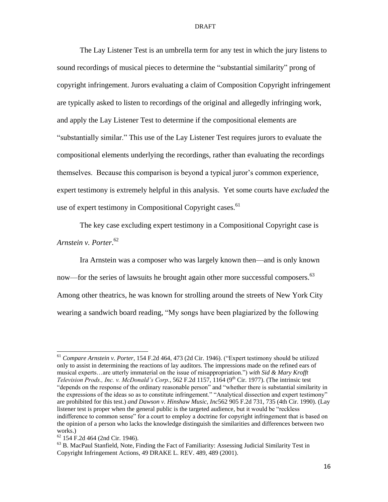The Lay Listener Test is an umbrella term for any test in which the jury listens to sound recordings of musical pieces to determine the "substantial similarity" prong of copyright infringement. Jurors evaluating a claim of Composition Copyright infringement are typically asked to listen to recordings of the original and allegedly infringing work, and apply the Lay Listener Test to determine if the compositional elements are ―substantially similar.‖ This use of the Lay Listener Test requires jurors to evaluate the compositional elements underlying the recordings, rather than evaluating the recordings themselves. Because this comparison is beyond a typical juror's common experience, expert testimony is extremely helpful in this analysis. Yet some courts have *excluded* the use of expert testimony in Compositional Copyright cases.<sup>61</sup>

The key case excluding expert testimony in a Compositional Copyright case is *Arnstein v. Porter*. 62

Ira Arnstein was a composer who was largely known then—and is only known now—for the series of lawsuits he brought again other more successful composers.<sup>63</sup> Among other theatrics, he was known for strolling around the streets of New York City wearing a sandwich board reading, "My songs have been plagiarized by the following

<sup>&</sup>lt;sup>61</sup> *Compare Arnstein v. Porter*, 154 F.2d 464, 473 (2d Cir. 1946). ("Expert testimony should be utilized only to assist in determining the reactions of lay auditors. The impressions made on the refined ears of musical experts…are utterly immaterial on the issue of misappropriation.") *with* Sid & Mary Krofft *Television Prods., Inc. v. McDonald's Corp.*, 562 F.2d 1157, 1164 (9<sup>th</sup> Cir. 1977). (The intrinsic test "depends on the response of the ordinary reasonable person" and "whether there is substantial similarity in the expressions of the ideas so as to constitute infringement." "Analytical dissection and expert testimony" are prohibited for this test.) *and Dawson v. Hinshaw Music, Inc*562 905 F.2d 731, 735 (4th Cir. 1990). (Lay listener test is proper when the general public is the targeted audience, but it would be "reckless" indifference to common sense" for a court to employ a doctrine for copyright infringement that is based on the opinion of a person who lacks the knowledge distinguish the similarities and differences between two works.)

<sup>62</sup> 154 F.2d 464 (2nd Cir. 1946).

<sup>63</sup> B. MacPaul Stanfield, Note, Finding the Fact of Familiarity: Assessing Judicial Similarity Test in Copyright Infringement Actions, 49 DRAKE L. REV. 489, 489 (2001).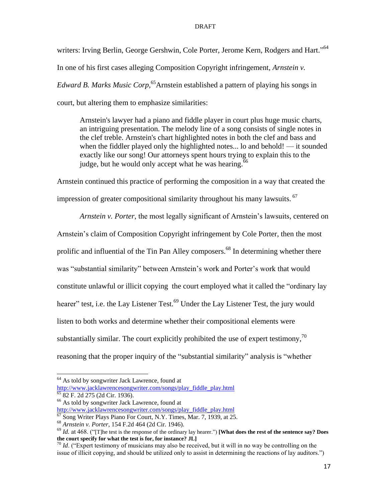writers: Irving Berlin, George Gershwin, Cole Porter, Jerome Kern, Rodgers and Hart."<sup>64</sup> In one of his first cases alleging Composition Copyright infringement, *Arnstein v. Edward B. Marks Music Corp,* <sup>65</sup>Arnstein established a pattern of playing his songs in court, but altering them to emphasize similarities:

Arnstein's lawyer had a piano and fiddle player in court plus huge music charts, an intriguing presentation. The melody line of a song consists of single notes in the clef treble. Arnstein's chart highlighted notes in both the clef and bass and when the fiddler played only the highlighted notes... lo and behold! — it sounded exactly like our song! Our attorneys spent hours trying to explain this to the judge, but he would only accept what he was hearing.<sup>66</sup>

Arnstein continued this practice of performing the composition in a way that created the impression of greater compositional similarity throughout his many lawsuits. 67

*Arnstein v. Porter*, the most legally significant of Arnstein's lawsuits, centered on Arnstein's claim of Composition Copyright infringement by Cole Porter, then the most prolific and influential of the Tin Pan Alley composers.<sup>68</sup> In determining whether there was "substantial similarity" between Arnstein's work and Porter's work that would constitute unlawful or illicit copying the court employed what it called the "ordinary lay" hearer" test, i.e. the Lay Listener Test.<sup>69</sup> Under the Lay Listener Test, the jury would listen to both works and determine whether their compositional elements were substantially similar. The court explicitly prohibited the use of expert testimony,<sup>70</sup> reasoning that the proper inquiry of the "substantial similarity" analysis is "whether

 $\overline{a}$ 

[http://www.jacklawrencesongwriter.com/songs/play\\_fiddle\\_play.html](http://www.jacklawrencesongwriter.com/songs/play_fiddle_play.html)  $5^{5}$  82 F. 2d 275 (2d Cir. 1936).

<sup>&</sup>lt;sup>64</sup> As told by songwriter Jack Lawrence, found at

<sup>66</sup> As told by songwriter Jack Lawrence, found at [http://www.jacklawrencesongwriter.com/songs/play\\_fiddle\\_play.html](http://www.jacklawrencesongwriter.com/songs/play_fiddle_play.html)

<sup>&</sup>lt;sup>67</sup> Song Writer Plays Piano For Court, N.Y. Times, Mar. 7, 1939, at 25.

<sup>68</sup> *Arnstein v. Porter*, 154 F.2d 464 (2d Cir. 1946).

 $^{69}$  *Id.* at 468. ("[T]he test is the response of the ordinary lay hearer.") **[What does the rest of the sentence say? Does the court specify for what the test is for, for instance? JL]**

 $70$  *Id.* ("Expert testimony of musicians may also be received, but it will in no way be controlling on the issue of illicit copying, and should be utilized only to assist in determining the reactions of lay auditors.")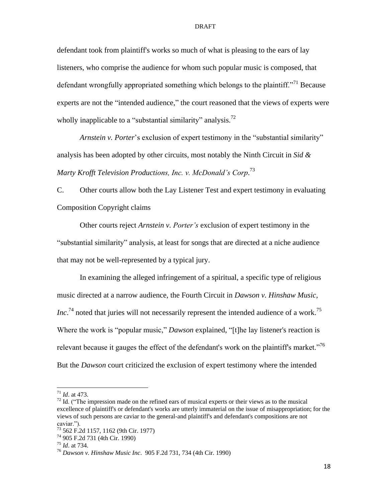defendant took from plaintiff's works so much of what is pleasing to the ears of lay listeners, who comprise the audience for whom such popular music is composed, that defendant wrongfully appropriated something which belongs to the plaintiff.<sup>771</sup> Because experts are not the "intended audience," the court reasoned that the views of experts were wholly inapplicable to a "substantial similarity" analysis.<sup>72</sup>

*Arnstein v. Porter*'s exclusion of expert testimony in the "substantial similarity" analysis has been adopted by other circuits, most notably the Ninth Circuit in *Sid & Marty Krofft Television Productions, Inc. v. McDonald's Corp*. 73

<span id="page-17-0"></span>C. Other courts allow both the Lay Listener Test and expert testimony in evaluating Composition Copyright claims

Other courts reject *Arnstein v. Porter's* exclusion of expert testimony in the ―substantial similarity‖ analysis, at least for songs that are directed at a niche audience that may not be well-represented by a typical jury.

In examining the alleged infringement of a spiritual, a specific type of religious music directed at a narrow audience, the Fourth Circuit in *Dawson v. Hinshaw Music, Inc*.<sup>74</sup> noted that juries will not necessarily represent the intended audience of a work.<sup>75</sup> Where the work is "popular music," *Dawson* explained, "[t]he lay listener's reaction is relevant because it gauges the effect of the defendant's work on the plaintiff's market.<sup>76</sup> But the *Dawson* court criticized the exclusion of expert testimony where the intended

<sup>71</sup> *Id*. at 473.

 $72$  Id. ("The impression made on the refined ears of musical experts or their views as to the musical excellence of plaintiff's or defendant's works are utterly immaterial on the issue of misappropriation; for the views of such persons are caviar to the general-and plaintiff's and defendant's compositions are not caviar.").

<sup>73</sup> 562 F.2d 1157, 1162 (9th Cir. 1977)

<sup>74</sup> 905 F.2d 731 (4th Cir. 1990)

<sup>75</sup> *Id*. at 734.

<sup>76</sup> *Dawson v. Hinshaw Music Inc*. 905 F.2d 731, 734 (4th Cir. 1990)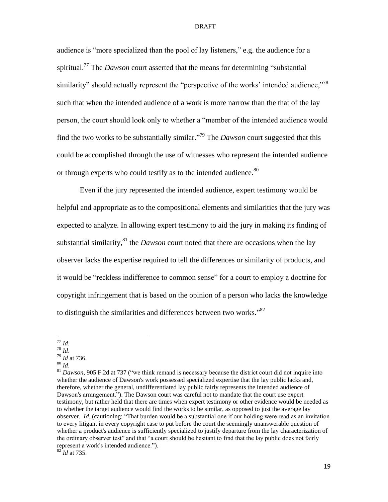audience is "more specialized than the pool of lay listeners," e.g. the audience for a spiritual.<sup>77</sup> The *Dawson* court asserted that the means for determining "substantial" similarity" should actually represent the "perspective of the works' intended audience,"<sup>78</sup> such that when the intended audience of a work is more narrow than the that of the lay person, the court should look only to whether a "member of the intended audience would find the two works to be substantially similar.<sup>79</sup> The *Dawson* court suggested that this could be accomplished through the use of witnesses who represent the intended audience or through experts who could testify as to the intended audience.<sup>80</sup>

Even if the jury represented the intended audience, expert testimony would be helpful and appropriate as to the compositional elements and similarities that the jury was expected to analyze. In allowing expert testimony to aid the jury in making its finding of substantial similarity,<sup>81</sup> the *Dawson* court noted that there are occasions when the lay observer lacks the expertise required to tell the differences or similarity of products, and it would be "reckless indifference to common sense" for a court to employ a doctrine for copyright infringement that is based on the opinion of a person who lacks the knowledge to distinguish the similarities and differences between two works." $82$ 

 $\overline{a}$ 

<sup>80</sup> *Id*.

<sup>77</sup> *Id*.

<sup>78</sup> *Id*.

<sup>79</sup> *Id* at 736.

<sup>&</sup>lt;sup>81</sup> *Dawson*, 905 F.2d at 737 ("we think remand is necessary because the district court did not inquire into whether the audience of Dawson's work possessed specialized expertise that the lay public lacks and, therefore, whether the general, undifferentiated lay public fairly represents the intended audience of Dawson's arrangement."). The Dawson court was careful not to mandate that the court use expert testimony, but rather held that there are times when expert testimony or other evidence would be needed as to whether the target audience would find the works to be similar, as opposed to just the average lay observer. *Id.* (cautioning: "That burden would be a substantial one if our holding were read as an invitation to every litigant in every copyright case to put before the court the seemingly unanswerable question of whether a product's audience is sufficiently specialized to justify departure from the lay characterization of the ordinary observer test" and that "a court should be hesitant to find that the lay public does not fairly represent a work's intended audience.").

<sup>82</sup> *Id* at 735.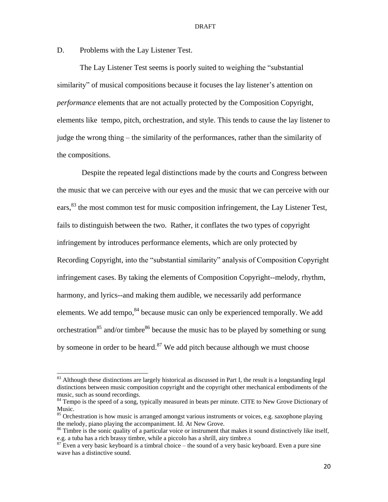<span id="page-19-0"></span>D. Problems with the Lay Listener Test.

 $\overline{a}$ 

The Lay Listener Test seems is poorly suited to weighing the "substantial" similarity" of musical compositions because it focuses the lay listener's attention on *performance* elements that are not actually protected by the Composition Copyright, elements like tempo, pitch, orchestration, and style. This tends to cause the lay listener to judge the wrong thing – the similarity of the performances, rather than the similarity of the compositions.

Despite the repeated legal distinctions made by the courts and Congress between the music that we can perceive with our eyes and the music that we can perceive with our ears,  $83$  the most common test for music composition infringement, the Lay Listener Test, fails to distinguish between the two. Rather, it conflates the two types of copyright infringement by introduces performance elements, which are only protected by Recording Copyright, into the "substantial similarity" analysis of Composition Copyright infringement cases. By taking the elements of Composition Copyright--melody, rhythm, harmony, and lyrics--and making them audible, we necessarily add performance elements. We add tempo,  $84$  because music can only be experienced temporally. We add orchestration<sup>85</sup> and/or timbre<sup>86</sup> because the music has to be played by something or sung by someone in order to be heard. $87$  We add pitch because although we must choose

 $83$  Although these distinctions are largely historical as discussed in Part I, the result is a longstanding legal distinctions between music composition copyright and the copyright other mechanical embodiments of the music, such as sound recordings.

<sup>&</sup>lt;sup>84</sup> Tempo is the speed of a song, typically measured in beats per minute. CITE to New Grove Dictionary of Music.

<sup>&</sup>lt;sup>85</sup> Orchestration is how music is arranged amongst various instruments or voices, e.g. saxophone playing the melody, piano playing the accompaniment. Id. At New Grove.

<sup>&</sup>lt;sup>86</sup> Timbre is the sonic quality of a particular voice or instrument that makes it sound distinctively like itself, e.g. a tuba has a rich brassy timbre, while a piccolo has a shrill, airy timbre.s

 $87$  Even a very basic keyboard is a timbral choice – the sound of a very basic keyboard. Even a pure sine wave has a distinctive sound.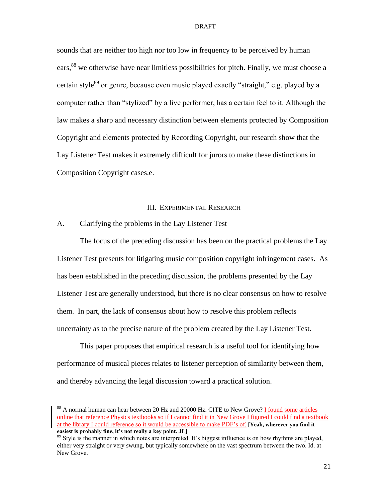sounds that are neither too high nor too low in frequency to be perceived by human ears,<sup>88</sup> we otherwise have near limitless possibilities for pitch. Finally, we must choose a certain style<sup>89</sup> or genre, because even music played exactly "straight," e.g. played by a computer rather than "stylized" by a live performer, has a certain feel to it. Although the law makes a sharp and necessary distinction between elements protected by Composition Copyright and elements protected by Recording Copyright, our research show that the Lay Listener Test makes it extremely difficult for jurors to make these distinctions in Composition Copyright cases.e.

## III. EXPERIMENTAL RESEARCH

## <span id="page-20-1"></span><span id="page-20-0"></span>A. Clarifying the problems in the Lay Listener Test

 $\overline{a}$ 

The focus of the preceding discussion has been on the practical problems the Lay Listener Test presents for litigating music composition copyright infringement cases. As has been established in the preceding discussion, the problems presented by the Lay Listener Test are generally understood, but there is no clear consensus on how to resolve them. In part, the lack of consensus about how to resolve this problem reflects uncertainty as to the precise nature of the problem created by the Lay Listener Test.

This paper proposes that empirical research is a useful tool for identifying how performance of musical pieces relates to listener perception of similarity between them, and thereby advancing the legal discussion toward a practical solution.

<sup>&</sup>lt;sup>88</sup> A normal human can hear between 20 Hz and 20000 Hz. CITE to New Grove? **I** found some articles online that reference Physics textbooks so if I cannot find it in New Grove I figured I could find a textbook at the library I could reference so it would be accessible to make PDF's of. **[Yeah, wherever you find it easiest is probably fine, it's not really a key point. JL]**

<sup>&</sup>lt;sup>89</sup> Style is the manner in which notes are interpreted. It's biggest influence is on how rhythms are played, either very straight or very swung, but typically somewhere on the vast spectrum between the two. Id. at New Grove.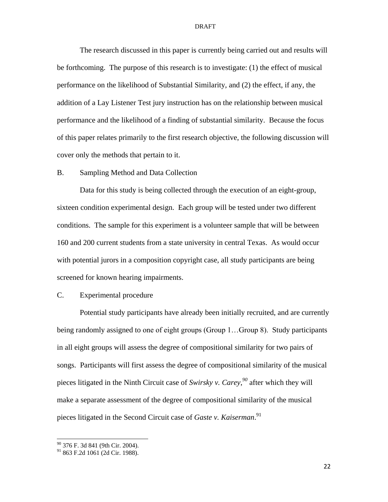The research discussed in this paper is currently being carried out and results will be forthcoming. The purpose of this research is to investigate: (1) the effect of musical performance on the likelihood of Substantial Similarity, and (2) the effect, if any, the addition of a Lay Listener Test jury instruction has on the relationship between musical performance and the likelihood of a finding of substantial similarity. Because the focus of this paper relates primarily to the first research objective, the following discussion will cover only the methods that pertain to it.

## <span id="page-21-0"></span>B. Sampling Method and Data Collection

Data for this study is being collected through the execution of an eight-group, sixteen condition experimental design. Each group will be tested under two different conditions. The sample for this experiment is a volunteer sample that will be between 160 and 200 current students from a state university in central Texas. As would occur with potential jurors in a composition copyright case, all study participants are being screened for known hearing impairments.

## <span id="page-21-1"></span>C. Experimental procedure

Potential study participants have already been initially recruited, and are currently being randomly assigned to one of eight groups (Group 1…Group 8). Study participants in all eight groups will assess the degree of compositional similarity for two pairs of songs. Participants will first assess the degree of compositional similarity of the musical pieces litigated in the Ninth Circuit case of *Swirsky v. Carey*, *<sup>90</sup>* after which they will make a separate assessment of the degree of compositional similarity of the musical pieces litigated in the Second Circuit case of *Gaste v. Kaiserman*. 91

<sup>&</sup>lt;sup>90</sup> 376 F. 3d 841 (9th Cir. 2004).

<sup>91</sup> 863 F.2d 1061 (2d Cir. 1988).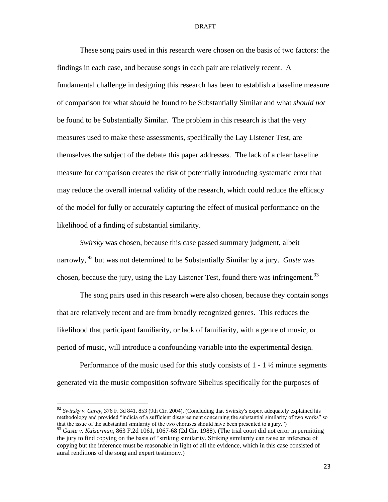These song pairs used in this research were chosen on the basis of two factors: the findings in each case, and because songs in each pair are relatively recent. A fundamental challenge in designing this research has been to establish a baseline measure of comparison for what *should* be found to be Substantially Similar and what *should not* be found to be Substantially Similar. The problem in this research is that the very measures used to make these assessments, specifically the Lay Listener Test, are themselves the subject of the debate this paper addresses. The lack of a clear baseline measure for comparison creates the risk of potentially introducing systematic error that may reduce the overall internal validity of the research, which could reduce the efficacy of the model for fully or accurately capturing the effect of musical performance on the likelihood of a finding of substantial similarity.

*Swirsky* was chosen, because this case passed summary judgment, albeit narrowly, <sup>92</sup> but was not determined to be Substantially Similar by a jury. *Gaste* was chosen, because the jury, using the Lay Listener Test, found there was infringement.  $93$ 

The song pairs used in this research were also chosen, because they contain songs that are relatively recent and are from broadly recognized genres. This reduces the likelihood that participant familiarity, or lack of familiarity, with a genre of music, or period of music, will introduce a confounding variable into the experimental design.

Performance of the music used for this study consists of  $1 - 1\frac{1}{2}$  minute segments generated via the music composition software Sibelius specifically for the purposes of

<sup>92</sup> *Swirsky v. Carey*, 376 F. 3d 841, 853 (9th Cir. 2004). (Concluding that Swirsky's expert adequately explained his methodology and provided "indicia of a sufficient disagreement concerning the substantial similarity of two works" so that the issue of the substantial similarity of the two choruses should have been presented to a jury.")

<sup>93</sup> *Gaste v. Kaiserman*, 863 F.2d 1061, 1067-68 (2d Cir. 1988). (The trial court did not error in permitting the jury to find copying on the basis of "striking similarity. Striking similarity can raise an inference of copying but the inference must be reasonable in light of all the evidence, which in this case consisted of aural renditions of the song and expert testimony.)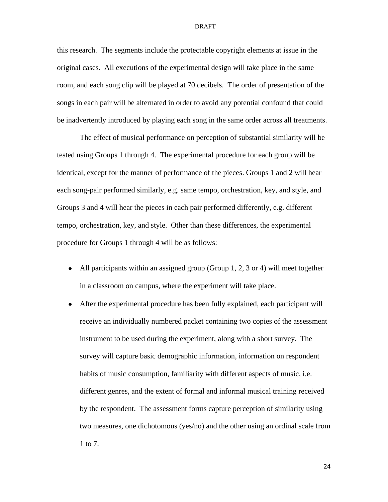this research. The segments include the protectable copyright elements at issue in the original cases. All executions of the experimental design will take place in the same room, and each song clip will be played at 70 decibels. The order of presentation of the songs in each pair will be alternated in order to avoid any potential confound that could be inadvertently introduced by playing each song in the same order across all treatments.

The effect of musical performance on perception of substantial similarity will be tested using Groups 1 through 4. The experimental procedure for each group will be identical, except for the manner of performance of the pieces. Groups 1 and 2 will hear each song-pair performed similarly, e.g. same tempo, orchestration, key, and style, and Groups 3 and 4 will hear the pieces in each pair performed differently, e.g. different tempo, orchestration, key, and style. Other than these differences, the experimental procedure for Groups 1 through 4 will be as follows:

- All participants within an assigned group (Group 1, 2, 3 or 4) will meet together in a classroom on campus, where the experiment will take place.
- After the experimental procedure has been fully explained, each participant will receive an individually numbered packet containing two copies of the assessment instrument to be used during the experiment, along with a short survey. The survey will capture basic demographic information, information on respondent habits of music consumption, familiarity with different aspects of music, i.e. different genres, and the extent of formal and informal musical training received by the respondent. The assessment forms capture perception of similarity using two measures, one dichotomous (yes/no) and the other using an ordinal scale from 1 to 7.

24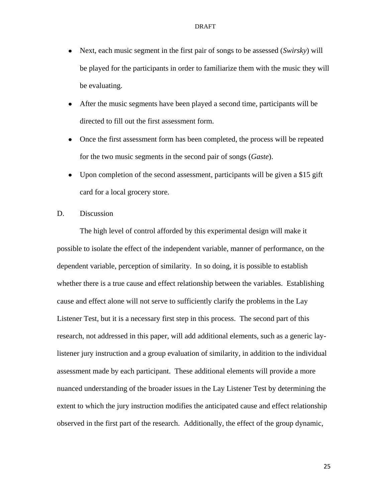- Next, each music segment in the first pair of songs to be assessed (*Swirsky*) will be played for the participants in order to familiarize them with the music they will be evaluating.
- $\bullet$ After the music segments have been played a second time, participants will be directed to fill out the first assessment form.
- Once the first assessment form has been completed, the process will be repeated for the two music segments in the second pair of songs (*Gaste*).
- Upon completion of the second assessment, participants will be given a \$15 gift card for a local grocery store.
- <span id="page-24-0"></span>D. Discussion

The high level of control afforded by this experimental design will make it possible to isolate the effect of the independent variable, manner of performance, on the dependent variable, perception of similarity. In so doing, it is possible to establish whether there is a true cause and effect relationship between the variables. Establishing cause and effect alone will not serve to sufficiently clarify the problems in the Lay Listener Test, but it is a necessary first step in this process. The second part of this research, not addressed in this paper, will add additional elements, such as a generic laylistener jury instruction and a group evaluation of similarity, in addition to the individual assessment made by each participant. These additional elements will provide a more nuanced understanding of the broader issues in the Lay Listener Test by determining the extent to which the jury instruction modifies the anticipated cause and effect relationship observed in the first part of the research. Additionally, the effect of the group dynamic,

25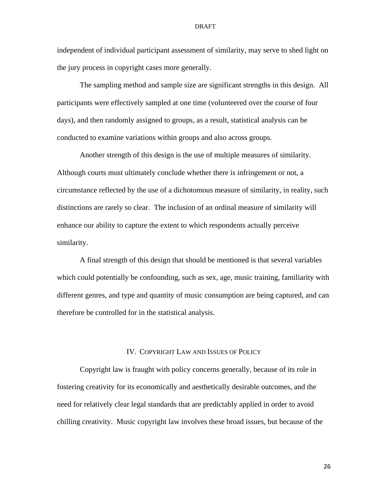independent of individual participant assessment of similarity, may serve to shed light on the jury process in copyright cases more generally.

The sampling method and sample size are significant strengths in this design. All participants were effectively sampled at one time (volunteered over the course of four days), and then randomly assigned to groups, as a result, statistical analysis can be conducted to examine variations within groups and also across groups.

Another strength of this design is the use of multiple measures of similarity. Although courts must ultimately conclude whether there is infringement or not, a circumstance reflected by the use of a dichotomous measure of similarity, in reality, such distinctions are rarely so clear. The inclusion of an ordinal measure of similarity will enhance our ability to capture the extent to which respondents actually perceive similarity.

A final strength of this design that should be mentioned is that several variables which could potentially be confounding, such as sex, age, music training, familiarity with different genres, and type and quantity of music consumption are being captured, and can therefore be controlled for in the statistical analysis.

## IV. COPYRIGHT LAW AND ISSUES OF POLICY

<span id="page-25-0"></span>Copyright law is fraught with policy concerns generally, because of its role in fostering creativity for its economically and aesthetically desirable outcomes, and the need for relatively clear legal standards that are predictably applied in order to avoid chilling creativity. Music copyright law involves these broad issues, but because of the

26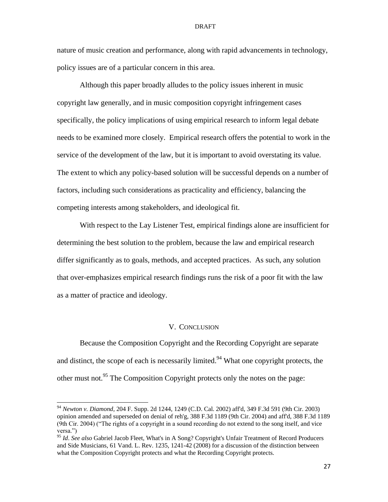nature of music creation and performance, along with rapid advancements in technology, policy issues are of a particular concern in this area.

Although this paper broadly alludes to the policy issues inherent in music copyright law generally, and in music composition copyright infringement cases specifically, the policy implications of using empirical research to inform legal debate needs to be examined more closely. Empirical research offers the potential to work in the service of the development of the law, but it is important to avoid overstating its value. The extent to which any policy-based solution will be successful depends on a number of factors, including such considerations as practicality and efficiency, balancing the competing interests among stakeholders, and ideological fit.

With respect to the Lay Listener Test, empirical findings alone are insufficient for determining the best solution to the problem, because the law and empirical research differ significantly as to goals, methods, and accepted practices. As such, any solution that over-emphasizes empirical research findings runs the risk of a poor fit with the law as a matter of practice and ideology.

## V. CONCLUSION

<span id="page-26-0"></span>Because the Composition Copyright and the Recording Copyright are separate and distinct, the scope of each is necessarily limited.<sup>94</sup> What one copyright protects, the other must not.<sup>95</sup> The Composition Copyright protects only the notes on the page:

<sup>94</sup> *Newton v. Diamond*, 204 F. Supp. 2d 1244, 1249 (C.D. Cal. 2002) aff'd, 349 F.3d 591 (9th Cir. 2003) opinion amended and superseded on denial of reh'g, 388 F.3d 1189 (9th Cir. 2004) and aff'd, 388 F.3d 1189 (9th Cir. 2004) ("The rights of a copyright in a sound recording do not extend to the song itself, and vice versa.")

<sup>95</sup> *Id*. *See also* Gabriel Jacob Fleet, What's in A Song? Copyright's Unfair Treatment of Record Producers and Side Musicians, 61 Vand. L. Rev. 1235, 1241-42 (2008) for a discussion of the distinction between what the Composition Copyright protects and what the Recording Copyright protects.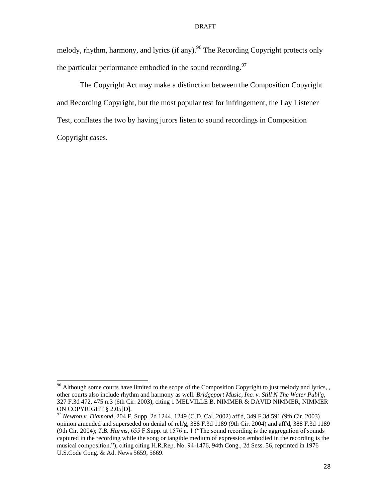melody, rhythm, harmony, and lyrics (if any).<sup>96</sup> The Recording Copyright protects only the particular performance embodied in the sound recording.<sup>97</sup>

The Copyright Act may make a distinction between the Composition Copyright and Recording Copyright, but the most popular test for infringement, the Lay Listener Test, conflates the two by having jurors listen to sound recordings in Composition Copyright cases.

<sup>&</sup>lt;sup>96</sup> Although some courts have limited to the scope of the Composition Copyright to just melody and lyrics, , other courts also include rhythm and harmony as well*. Bridgeport Music, Inc. v. Still N The Water Publ'g*, 327 F.3d 472, 475 n.3 (6th Cir. 2003), citing 1 MELVILLE B. NIMMER & DAVID NIMMER, NIMMER ON COPYRIGHT § 2.05[D].

<sup>97</sup> *Newton v. Diamond*, 204 F. Supp. 2d 1244, 1249 (C.D. Cal. 2002) aff'd, 349 F.3d 591 (9th Cir. 2003) opinion amended and superseded on denial of reh'g, 388 F.3d 1189 (9th Cir. 2004) and aff'd, 388 F.3d 1189 (9th Cir. 2004); *T.B. Harms*, 655 F.Supp. at 1576 n. 1 ("The sound recording is the aggregation of sounds") captured in the recording while the song or tangible medium of expression embodied in the recording is the musical composition."), citing citing H.R.Rep. No. 94-1476, 94th Cong., 2d Sess. 56, reprinted in 1976 U.S.Code Cong. & Ad. News 5659, 5669.